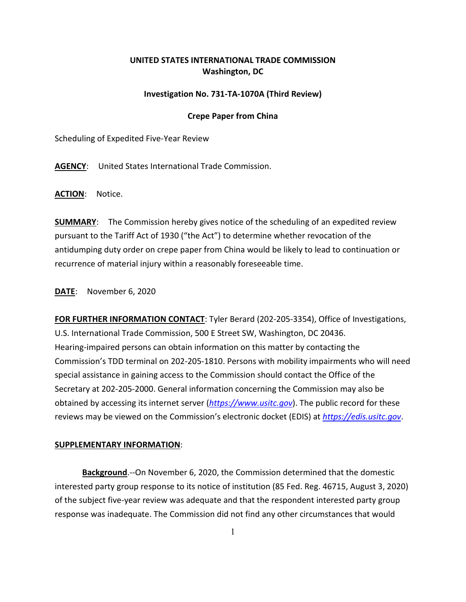## **UNITED STATES INTERNATIONAL TRADE COMMISSION Washington, DC**

## **Investigation No. 731-TA-1070A (Third Review)**

## **Crepe Paper from China**

Scheduling of Expedited Five-Year Review

**AGENCY**: United States International Trade Commission.

**ACTION**: Notice.

**SUMMARY**: The Commission hereby gives notice of the scheduling of an expedited review pursuant to the Tariff Act of 1930 ("the Act") to determine whether revocation of the antidumping duty order on crepe paper from China would be likely to lead to continuation or recurrence of material injury within a reasonably foreseeable time.

**DATE**: November 6, 2020

**FOR FURTHER INFORMATION CONTACT**: Tyler Berard (202-205-3354), Office of Investigations, U.S. International Trade Commission, 500 E Street SW, Washington, DC 20436. Hearing-impaired persons can obtain information on this matter by contacting the Commission's TDD terminal on 202-205-1810. Persons with mobility impairments who will need special assistance in gaining access to the Commission should contact the Office of the Secretary at 202-205-2000. General information concerning the Commission may also be obtained by accessing its internet server (*[https://www.usitc.gov](https://www.usitc.gov/)*). The public record for these reviews may be viewed on the Commission's electronic docket (EDIS) at *[https://edis.usitc.gov](https://edis.usitc.gov/)*.

## **SUPPLEMENTARY INFORMATION**:

**Background**.--On November 6, 2020, the Commission determined that the domestic interested party group response to its notice of institution (85 Fed. Reg. 46715, August 3, 2020) of the subject five-year review was adequate and that the respondent interested party group response was inadequate. The Commission did not find any other circumstances that would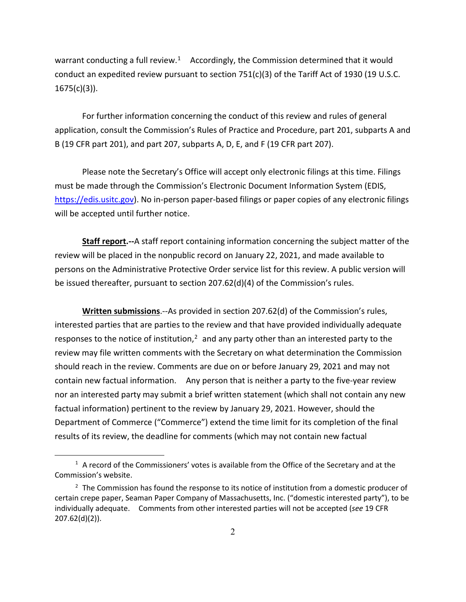warrant conducting a full review.<sup>1</sup> Accordingly, the Commission determined that it would conduct an expedited review pursuant to section 751(c)(3) of the Tariff Act of 1930 (19 U.S.C.  $1675(c)(3)$ ).

For further information concerning the conduct of this review and rules of general application, consult the Commission's Rules of Practice and Procedure, part 201, subparts A and B (19 CFR part 201), and part 207, subparts A, D, E, and F (19 CFR part 207).

Please note the Secretary's Office will accept only electronic filings at this time. Filings must be made through the Commission's Electronic Document Information System (EDIS, [https://edis.usitc.gov\)](https://edis.usitc.gov/). No in-person paper-based filings or paper copies of any electronic filings will be accepted until further notice.

**Staff report.--**A staff report containing information concerning the subject matter of the review will be placed in the nonpublic record on January 22, 2021, and made available to persons on the Administrative Protective Order service list for this review. A public version will be issued thereafter, pursuant to section 207.62(d)(4) of the Commission's rules.

**Written submissions**.--As provided in section 207.62(d) of the Commission's rules, interested parties that are parties to the review and that have provided individually adequate responses to the notice of institution, $<sup>2</sup>$  $<sup>2</sup>$  $<sup>2</sup>$  and any party other than an interested party to the</sup> review may file written comments with the Secretary on what determination the Commission should reach in the review. Comments are due on or before January 29, 2021 and may not contain new factual information. Any person that is neither a party to the five-year review nor an interested party may submit a brief written statement (which shall not contain any new factual information) pertinent to the review by January 29, 2021. However, should the Department of Commerce ("Commerce") extend the time limit for its completion of the final results of its review, the deadline for comments (which may not contain new factual

<span id="page-1-0"></span> $1$  A record of the Commissioners' votes is available from the Office of the Secretary and at the Commission's website.

<span id="page-1-1"></span><sup>&</sup>lt;sup>2</sup> The Commission has found the response to its notice of institution from a domestic producer of certain crepe paper, Seaman Paper Company of Massachusetts, Inc. ("domestic interested party"), to be individually adequate. Comments from other interested parties will not be accepted (*see* 19 CFR 207.62(d)(2)).